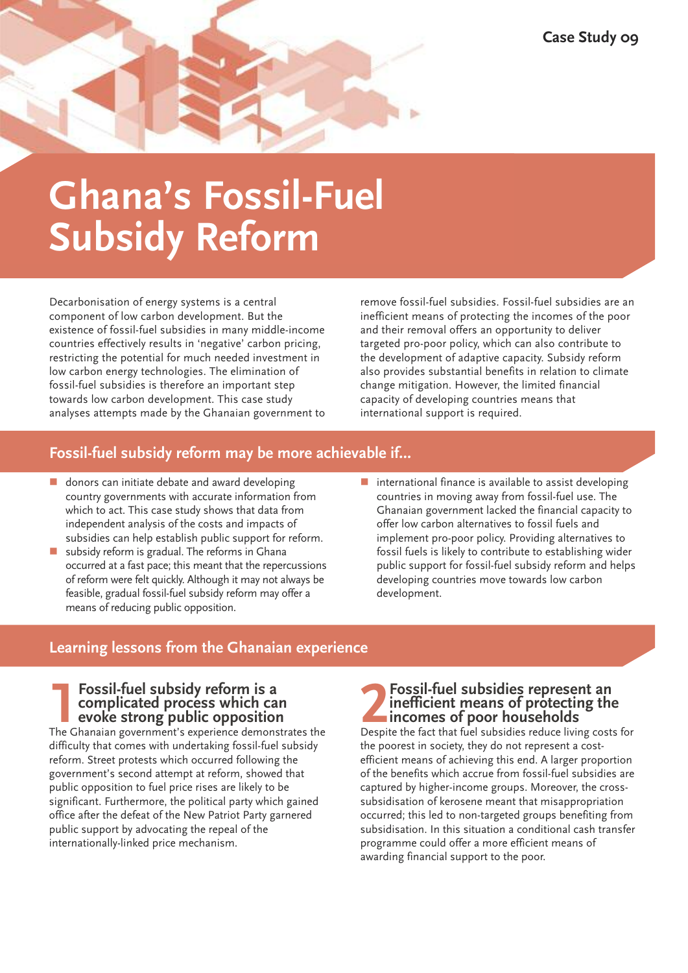# **Ghana's Fossil-Fuel Subsidy Reform**

Decarbonisation of energy systems is a central component of low carbon development. But the existence of fossil-fuel subsidies in many middle-income countries effectively results in 'negative' carbon pricing, restricting the potential for much needed investment in low carbon energy technologies. The elimination of fossil-fuel subsidies is therefore an important step towards low carbon development. This case study analyses attempts made by the Ghanaian government to remove fossil-fuel subsidies. Fossil-fuel subsidies are an inefficient means of protecting the incomes of the poor and their removal offers an opportunity to deliver targeted pro-poor policy, which can also contribute to the development of adaptive capacity. Subsidy reform also provides substantial benefits in relation to climate change mitigation. However, the limited financial capacity of developing countries means that international support is required.

## **Fossil-fuel subsidy reform may be more achievable if…**

- $\blacksquare$  donors can initiate debate and award developing country governments with accurate information from which to act. This case study shows that data from independent analysis of the costs and impacts of subsidies can help establish public support for reform.
- subsidy reform is gradual. The reforms in Ghana occurred at a fast pace; this meant that the repercussions of reform were felt quickly. Although it may not always be feasible, gradual fossil-fuel subsidy reform may offer a means of reducing public opposition.
- $\blacksquare$  international finance is available to assist developing countries in moving away from fossil-fuel use. The Ghanaian government lacked the financial capacity to offer low carbon alternatives to fossil fuels and implement pro-poor policy. Providing alternatives to fossil fuels is likely to contribute to establishing wider public support for fossil-fuel subsidy reform and helps developing countries move towards low carbon development.

## **Learning lessons from the Ghanaian experience**

#### **1Fossil-fuel subsidy reform is <sup>a</sup> complicated process which can evoke strong public opposition**

The Ghanaian government's experience demonstrates the difficulty that comes with undertaking fossil-fuel subsidy reform. Street protests which occurred following the government's second attempt at reform, showed that public opposition to fuel price rises are likely to be significant. Furthermore, the political party which gained office after the defeat of the New Patriot Party garnered public support by advocating the repeal of the internationally-linked price mechanism.

## **2Fossil-fuel subsidies represent and inefficient means of protecting the incomes of poor households Despite the fact that fuel subsidies reduce living cost inefficient means of protecting the incomes of poor households**

Despite the fact that fuel subsidies reduce living costs for the poorest in society, they do not represent a costefficient means of achieving this end. A larger proportion of the benefits which accrue from fossil-fuel subsidies are captured by higher-income groups. Moreover, the crosssubsidisation of kerosene meant that misappropriation occurred; this led to non-targeted groups benefiting from subsidisation. In this situation a conditional cash transfer programme could offer a more efficient means of awarding financial support to the poor.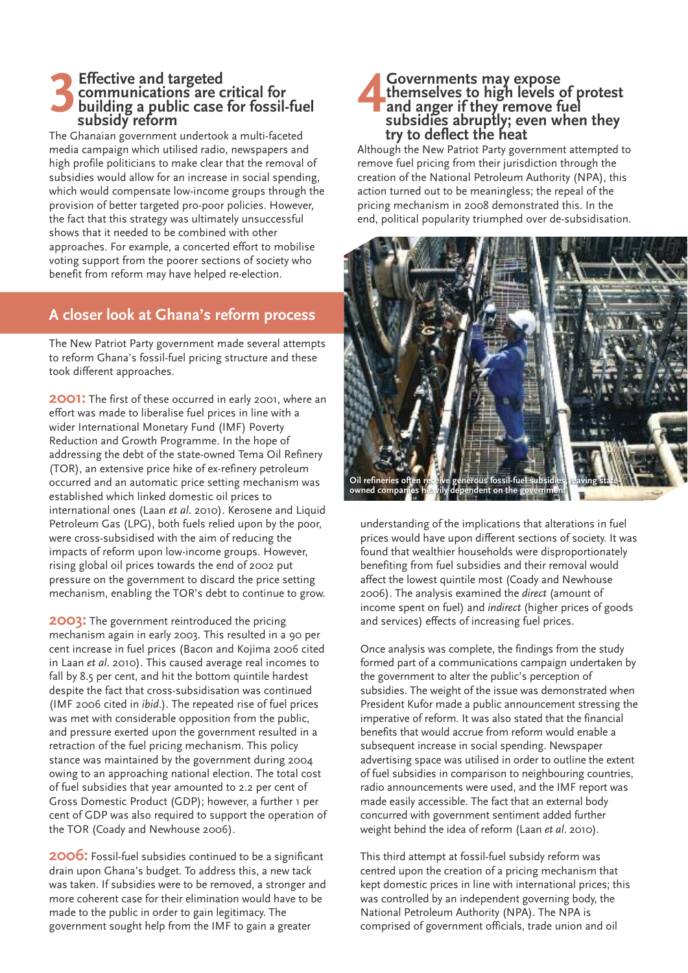#### **3Effective and targeted communications are critical for building a public case for fossil-fuel subsidy reform**

The Ghanaian government undertook a multi-faceted media campaign which utilised radio, newspapers and high profile politicians to make clear that the removal of subsidies would allow for an increase in social spending, which would compensate low-income groups through the provision of better targeted pro-poor policies. However, the fact that this strategy was ultimately unsuccessful shows that it needed to be combined with other approaches. For example, a concerted effort to mobilise voting support from the poorer sections of society who benefit from reform may have helped re-election.

## **A closer look at Ghana's reform process**

The New Patriot Party government made several attempts to reform Ghana's fossil-fuel pricing structure and these took different approaches.

**2001:** The first of these occurred in early 2001, where an effort was made to liberalise fuel prices in line with a wider International Monetary Fund (IMF) Poverty Reduction and Growth Programme. In the hope of addressing the debt of the state-owned Tema Oil Refinery (TOR), an extensive price hike of ex-refinery petroleum occurred and an automatic price setting mechanism was established which linked domestic oil prices to international ones (Laan *et al*. 2010). Kerosene and Liquid Petroleum Gas (LPG), both fuels relied upon by the poor, were cross-subsidised with the aim of reducing the impacts of reform upon low-income groups. However, rising global oil prices towards the end of 2002 put pressure on the government to discard the price setting mechanism, enabling the TOR's debt to continue to grow.

**2003:** The government reintroduced the pricing mechanism again in early 2003. This resulted in a 90 per cent increase in fuel prices (Bacon and Kojima 2006 cited in Laan *et al*. 2010). This caused average real incomes to fall by 8.5 per cent, and hit the bottom quintile hardest despite the fact that cross-subsidisation was continued (IMF 2006 cited in *ibid*.). The repeated rise of fuel prices was met with considerable opposition from the public, and pressure exerted upon the government resulted in a retraction of the fuel pricing mechanism. This policy stance was maintained by the government during 2004 owing to an approaching national election. The total cost of fuel subsidies that year amounted to 2.2 per cent of Gross Domestic Product (GDP); however, a further 1 per cent of GDP was also required to support the operation of the TOR (Coady and Newhouse 2006).

**2006:** Fossil-fuel subsidies continued to be a significant drain upon Ghana's budget. To address this, a new tack was taken. If subsidies were to be removed, a stronger and more coherent case for their elimination would have to be made to the public in order to gain legitimacy. The government sought help from the IMF to gain a greater

#### **4E** Governments may expose<br>themselves to high levels<br>and anger if they remove f<br>subsidies abruptly: even w **themselves to high levels of protest and anger if they remove fuel subsidies abruptly; even when they try to deflect the heat**

Although the New Patriot Party government attempted to remove fuel pricing from their jurisdiction through the creation of the National Petroleum Authority (NPA), this action turned out to be meaningless; the repeal of the pricing mechanism in 2008 demonstrated this. In the end, political popularity triumphed over de-subsidisation.



understanding of the implications that alterations in fuel prices would have upon different sections of society. It was found that wealthier households were disproportionately benefiting from fuel subsidies and their removal would affect the lowest quintile most (Coady and Newhouse 2006). The analysis examined the *direct* (amount of income spent on fuel) and *indirect* (higher prices of goods and services) effects of increasing fuel prices.

Once analysis was complete, the findings from the study formed part of a communications campaign undertaken by the government to alter the public's perception of subsidies. The weight of the issue was demonstrated when President Kufor made a public announcement stressing the imperative of reform. It was also stated that the financial benefits that would accrue from reform would enable a subsequent increase in social spending. Newspaper advertising space was utilised in order to outline the extent of fuel subsidies in comparison to neighbouring countries, radio announcements were used, and the IMF report was made easily accessible. The fact that an external body concurred with government sentiment added further weight behind the idea of reform (Laan *et al*. 2010).

This third attempt at fossil-fuel subsidy reform was centred upon the creation of a pricing mechanism that kept domestic prices in line with international prices; this was controlled by an independent governing body, the National Petroleum Authority (NPA). The NPA is comprised of government officials, trade union and oil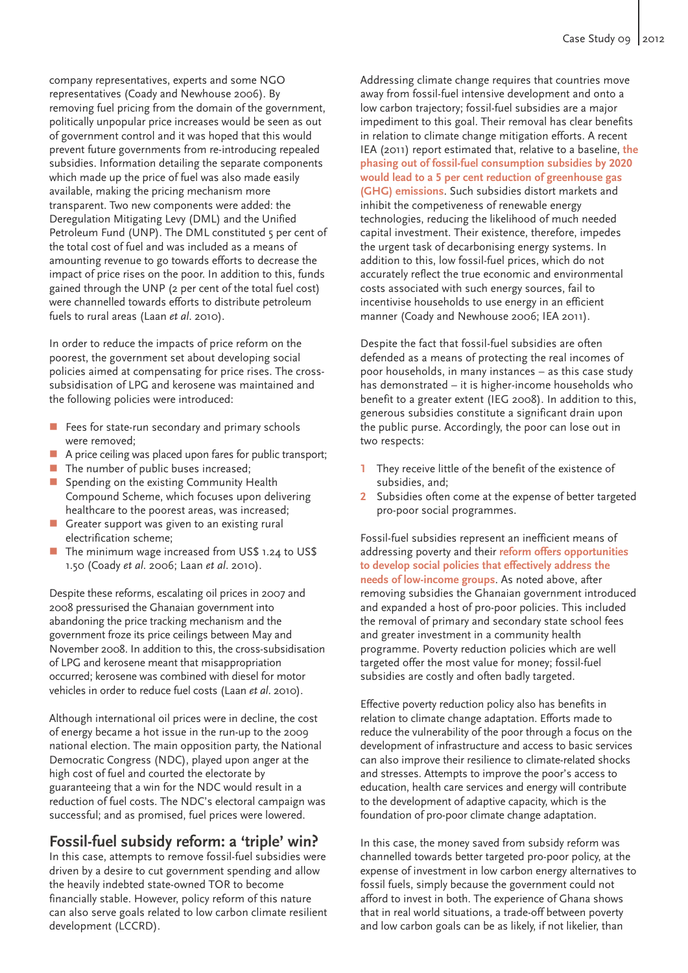company representatives, experts and some NGO representatives (Coady and Newhouse 2006). By removing fuel pricing from the domain of the government, politically unpopular price increases would be seen as out of government control and it was hoped that this would prevent future governments from re-introducing repealed subsidies. Information detailing the separate components which made up the price of fuel was also made easily available, making the pricing mechanism more transparent. Two new components were added: the Deregulation Mitigating Levy (DML) and the Unified Petroleum Fund (UNP). The DML constituted 5 per cent of the total cost of fuel and was included as a means of amounting revenue to go towards efforts to decrease the impact of price rises on the poor. In addition to this, funds gained through the UNP (2 per cent of the total fuel cost) were channelled towards efforts to distribute petroleum fuels to rural areas (Laan *et al*. 2010).

In order to reduce the impacts of price reform on the poorest, the government set about developing social policies aimed at compensating for price rises. The crosssubsidisation of LPG and kerosene was maintained and the following policies were introduced:

- $\blacksquare$  Fees for state-run secondary and primary schools were removed;
- A price ceiling was placed upon fares for public transport;
- $\blacksquare$  The number of public buses increased;
- $\blacksquare$  Spending on the existing Community Health Compound Scheme, which focuses upon delivering healthcare to the poorest areas, was increased;
- $\blacksquare$  Greater support was given to an existing rural electrification scheme;
- The minimum wage increased from US\$ 1.24 to US\$ 1.50 (Coady *et al*. 2006; Laan *et al*. 2010).

Despite these reforms, escalating oil prices in 2007 and 2008 pressurised the Ghanaian government into abandoning the price tracking mechanism and the government froze its price ceilings between May and November 2008. In addition to this, the cross-subsidisation of LPG and kerosene meant that misappropriation occurred; kerosene was combined with diesel for motor vehicles in order to reduce fuel costs (Laan *et al*. 2010).

Although international oil prices were in decline, the cost of energy became a hot issue in the run-up to the 2009 national election. The main opposition party, the National Democratic Congress (NDC), played upon anger at the high cost of fuel and courted the electorate by guaranteeing that a win for the NDC would result in a reduction of fuel costs. The NDC's electoral campaign was successful; and as promised, fuel prices were lowered.

### **Fossil-fuel subsidy reform: a 'triple' win?**

In this case, attempts to remove fossil-fuel subsidies were driven by a desire to cut government spending and allow the heavily indebted state-owned TOR to become financially stable. However, policy reform of this nature can also serve goals related to low carbon climate resilient development (LCCRD).

Addressing climate change requires that countries move away from fossil-fuel intensive development and onto a low carbon trajectory; fossil-fuel subsidies are a major impediment to this goal. Their removal has clear benefits in relation to climate change mitigation efforts. A recent IEA (2011) report estimated that, relative to a baseline, **the phasing out of fossil-fuel consumption subsidies by 2020 would lead to a 5 per cent reduction of greenhouse gas (GHG) emissions**. Such subsidies distort markets and inhibit the competiveness of renewable energy technologies, reducing the likelihood of much needed capital investment. Their existence, therefore, impedes the urgent task of decarbonising energy systems. In addition to this, low fossil-fuel prices, which do not accurately reflect the true economic and environmental costs associated with such energy sources, fail to incentivise households to use energy in an efficient manner (Coady and Newhouse 2006; IEA 2011).

Despite the fact that fossil-fuel subsidies are often defended as a means of protecting the real incomes of poor households, in many instances – as this case study has demonstrated – it is higher-income households who benefit to a greater extent (IEG 2008). In addition to this, generous subsidies constitute a significant drain upon the public purse. Accordingly, the poor can lose out in two respects:

- **1** They receive little of the benefit of the existence of subsidies, and;
- **2** Subsidies often come at the expense of better targeted pro-poor social programmes.

Fossil-fuel subsidies represent an inefficient means of addressing poverty and their **reform offers opportunities to develop social policies that effectively address the needs of low-income groups**. As noted above, after removing subsidies the Ghanaian government introduced and expanded a host of pro-poor policies. This included the removal of primary and secondary state school fees and greater investment in a community health programme. Poverty reduction policies which are well targeted offer the most value for money; fossil-fuel subsidies are costly and often badly targeted.

Effective poverty reduction policy also has benefits in relation to climate change adaptation. Efforts made to reduce the vulnerability of the poor through a focus on the development of infrastructure and access to basic services can also improve their resilience to climate-related shocks and stresses. Attempts to improve the poor's access to education, health care services and energy will contribute to the development of adaptive capacity, which is the foundation of pro-poor climate change adaptation.

In this case, the money saved from subsidy reform was channelled towards better targeted pro-poor policy, at the expense of investment in low carbon energy alternatives to fossil fuels, simply because the government could not afford to invest in both. The experience of Ghana shows that in real world situations, a trade-off between poverty and low carbon goals can be as likely, if not likelier, than